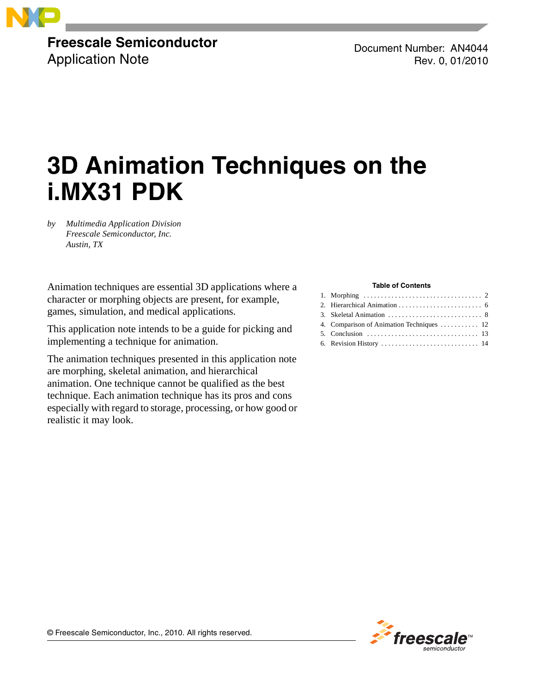

## **Freescale Semiconductor**

Application Note

Document Number: AN4044 Rev. 0, 01/2010

# **3D Animation Techniques on the i.MX31 PDK**

*by Multimedia Application Division Freescale Semiconductor, Inc. Austin, TX*

Animation techniques are essential 3D applications where a character or morphing objects are present, for example, games, simulation, and medical applications.

This application note intends to be a guide for picking and implementing a technique for animation.

The animation techniques presented in this application note are morphing, skeletal animation, and hierarchical animation. One technique cannot be qualified as the best technique. Each animation technique has its pros and cons especially with regard to storage, processing, or how good or realistic it may look.

#### **Table of Contents**

| 4. Comparison of Animation Techniques  12 |
|-------------------------------------------|
|                                           |
| 6. Revision History  14                   |



© Freescale Semiconductor, Inc., 2010. All rights reserved.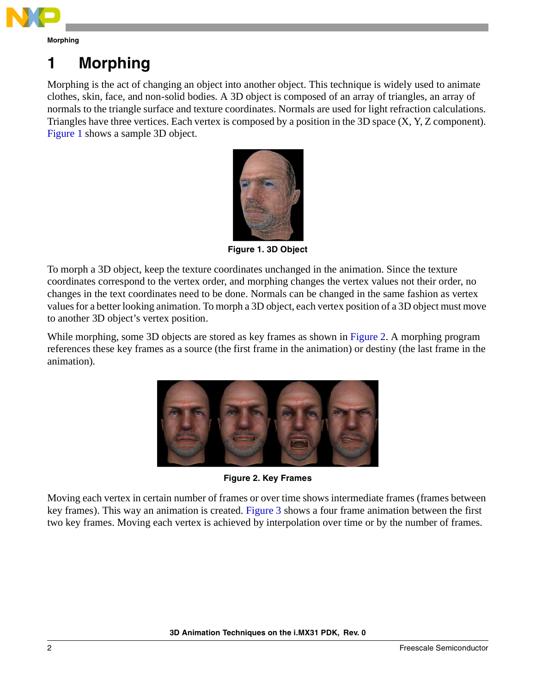

## <span id="page-1-0"></span>**1 Morphing**

Morphing is the act of changing an object into another object. This technique is widely used to animate clothes, skin, face, and non-solid bodies. A 3D object is composed of an array of triangles, an array of normals to the triangle surface and texture coordinates. Normals are used for light refraction calculations. Triangles have three vertices. Each vertex is composed by a position in the 3D space (X, Y, Z component). [Figure 1](#page-1-2) shows a sample 3D object.



**Figure 1. 3D Object**

<span id="page-1-2"></span>To morph a 3D object, keep the texture coordinates unchanged in the animation. Since the texture coordinates correspond to the vertex order, and morphing changes the vertex values not their order, no changes in the text coordinates need to be done. Normals can be changed in the same fashion as vertex values for a better looking animation. To morph a 3D object, each vertex position of a 3D object must move to another 3D object's vertex position.

While morphing, some 3D objects are stored as key frames as shown in [Figure 2.](#page-1-1) A morphing program references these key frames as a source (the first frame in the animation) or destiny (the last frame in the animation).



**Figure 2. Key Frames**

<span id="page-1-1"></span>Moving each vertex in certain number of frames or over time shows intermediate frames (frames between key frames). This way an animation is created. [Figure 3](#page-2-0) shows a four frame animation between the first two key frames. Moving each vertex is achieved by interpolation over time or by the number of frames.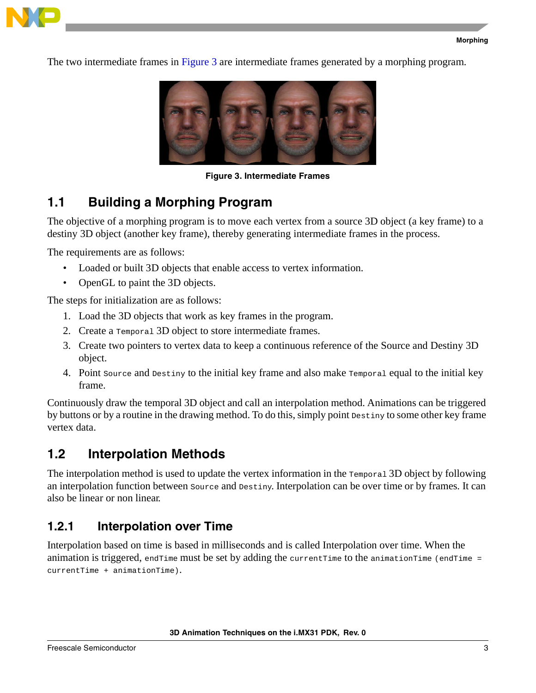

The two intermediate frames in [Figure 3](#page-2-0) are intermediate frames generated by a morphing program.



**Figure 3. Intermediate Frames**

### <span id="page-2-0"></span>**1.1 Building a Morphing Program**

The objective of a morphing program is to move each vertex from a source 3D object (a key frame) to a destiny 3D object (another key frame), thereby generating intermediate frames in the process.

The requirements are as follows:

- Loaded or built 3D objects that enable access to vertex information.
- OpenGL to paint the 3D objects.

The steps for initialization are as follows:

- 1. Load the 3D objects that work as key frames in the program.
- 2. Create a Temporal 3D object to store intermediate frames.
- 3. Create two pointers to vertex data to keep a continuous reference of the Source and Destiny 3D object.
- 4. Point source and Destiny to the initial key frame and also make Temporal equal to the initial key frame.

Continuously draw the temporal 3D object and call an interpolation method. Animations can be triggered by buttons or by a routine in the drawing method. To do this, simply point  $\Delta$  besting to some other key frame vertex data.

### **1.2 Interpolation Methods**

The interpolation method is used to update the vertex information in the Temporal 3D object by following an interpolation function between Source and Destiny. Interpolation can be over time or by frames. It can also be linear or non linear*.*

### **1.2.1 Interpolation over Time**

Interpolation based on time is based in milliseconds and is called Interpolation over time. When the animation is triggered, endTime must be set by adding the currentTime to the animationTime (endTime = currentTime + animationTime).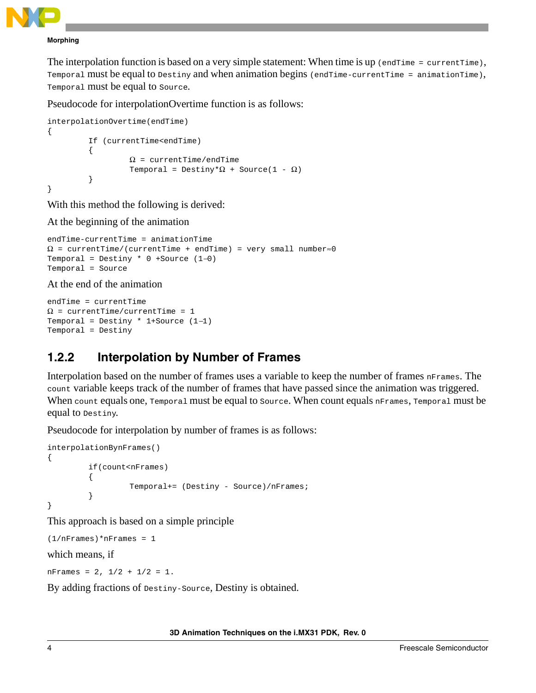#### **Morphing**

The interpolation function is based on a very simple statement: When time is up (endTime = currentTime), Temporal must be equal to Destiny and when animation begins (endTime-currentTime = animationTime), Temporal must be equal to Source.

Pseudocode for interpolationOvertime function is as follows:

```
interpolationOvertime(endTime)
{
          If (currentTime<endTime)
          {
                    \Omega = currentTime/endTime
                    Temporal = Destiny*\Omega + Source(1 - \Omega)
          }
}
```
With this method the following is derived:

At the beginning of the animation

```
endTime-currentTime = animationTime
\Omega = currentTime/(currentTime + endTime) = very small number≈0
Temporal = Destiny * 0 +Source (1−0)
Temporal = Source
```
At the end of the animation

endTime = currentTime  $\Omega$  = currentTime/currentTime = 1 Temporal = Destiny \* 1+Source (1−1) Temporal = Destiny

### **1.2.2 Interpolation by Number of Frames**

Interpolation based on the number of frames uses a variable to keep the number of frames nFrames. The count variable keeps track of the number of frames that have passed since the animation was triggered. When count equals one, Temporal must be equal to Source. When count equals nFrames, Temporal must be equal to Destiny.

Pseudocode for interpolation by number of frames is as follows:

```
interpolationBynFrames()
{
         if(count<nFrames)
         {
                  Temporal+= (Destiny - Source)/nFrames;
         }
}
```
This approach is based on a simple principle

```
(1/nFrames) * nFrames = 1
```
which means, if

 $n$ Frames = 2,  $1/2 + 1/2 = 1$ .

By adding fractions of Destiny-Source*,* Destiny is obtained.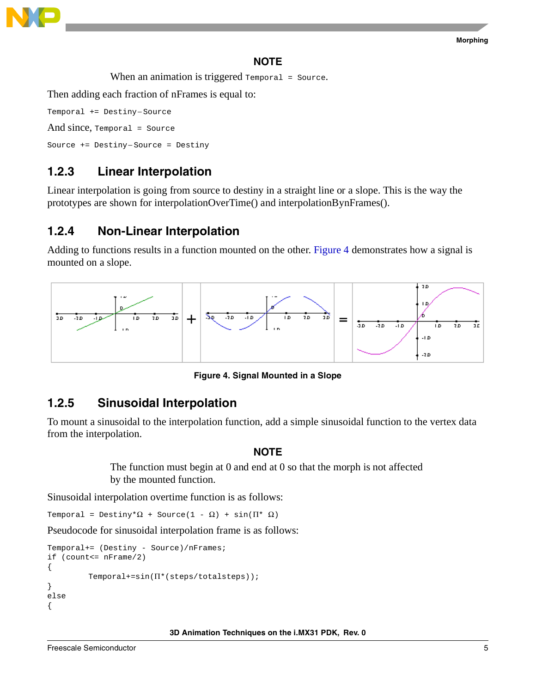

### **NOTE**

When an animation is triggered Temporal = Source.

Then adding each fraction of nFrames is equal to:

```
Temporal += Destiny− Source
And since, Temporal = Source
Source += Destiny− Source = Destiny
```
### **1.2.3 Linear Interpolation**

Linear interpolation is going from source to destiny in a straight line or a slope. This is the way the prototypes are shown for interpolationOverTime() and interpolationBynFrames().

### **1.2.4 Non-Linear Interpolation**

Adding to functions results in a function mounted on the other. [Figure 4](#page-4-0) demonstrates how a signal is mounted on a slope.



**Figure 4. Signal Mounted in a Slope**

### <span id="page-4-0"></span>**1.2.5 Sinusoidal Interpolation**

To mount a sinusoidal to the interpolation function, add a simple sinusoidal function to the vertex data from the interpolation.

#### **NOTE**

The function must begin at 0 and end at 0 so that the morph is not affected by the mounted function.

Sinusoidal interpolation overtime function is as follows:

```
Temporal = Destiny*\Omega + Source(1 - \Omega) + sin(\Pi^* \Omega)
```
Pseudocode for sinusoidal interpolation frame is as follows:

```
Temporal+= (Destiny - Source)/nFrames;
if (count<= nFrame/2)
{
         Temporal+=sin(Π*(steps/totalsteps));
}
else
{
```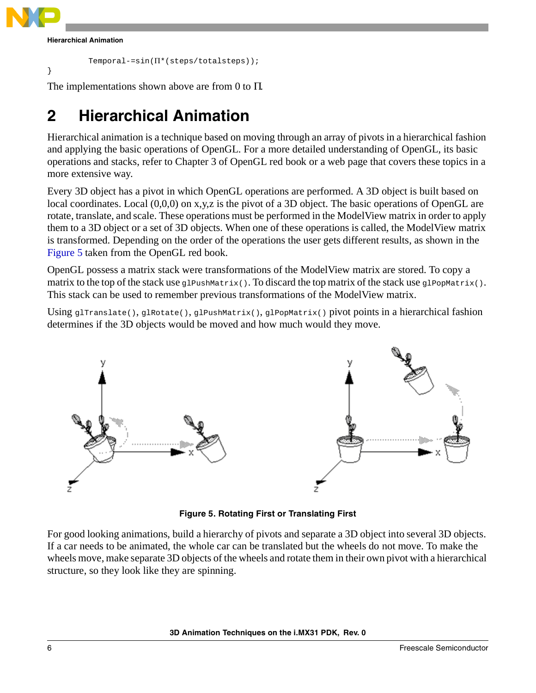

}

**Hierarchical Animation**

```
Temporal-=sin(Π*(steps/totalsteps));
```
The implementations shown above are from 0 to Π.

### <span id="page-5-0"></span>**2 Hierarchical Animation**

Hierarchical animation is a technique based on moving through an array of pivots in a hierarchical fashion and applying the basic operations of OpenGL. For a more detailed understanding of OpenGL, its basic operations and stacks, refer to Chapter 3 of OpenGL red book or a web page that covers these topics in a more extensive way.

Every 3D object has a pivot in which OpenGL operations are performed. A 3D object is built based on local coordinates. Local (0,0,0) on x,y,z is the pivot of a 3D object. The basic operations of OpenGL are rotate, translate, and scale. These operations must be performed in the ModelView matrix in order to apply them to a 3D object or a set of 3D objects. When one of these operations is called, the ModelView matrix is transformed. Depending on the order of the operations the user gets different results, as shown in the [Figure 5](#page-5-1) taken from the OpenGL red book.

OpenGL possess a matrix stack were transformations of the ModelView matrix are stored. To copy a matrix to the top of the stack use glpushMatrix(). To discard the top matrix of the stack use glpopMatrix(). This stack can be used to remember previous transformations of the ModelView matrix.

Using glTranslate(), glRotate(), glPushMatrix(), glPopMatrix() pivot points in a hierarchical fashion determines if the 3D objects would be moved and how much would they move.



**Figure 5. Rotating First or Translating First**

<span id="page-5-1"></span>For good looking animations, build a hierarchy of pivots and separate a 3D object into several 3D objects. If a car needs to be animated, the whole car can be translated but the wheels do not move. To make the wheels move, make separate 3D objects of the wheels and rotate them in their own pivot with a hierarchical structure, so they look like they are spinning.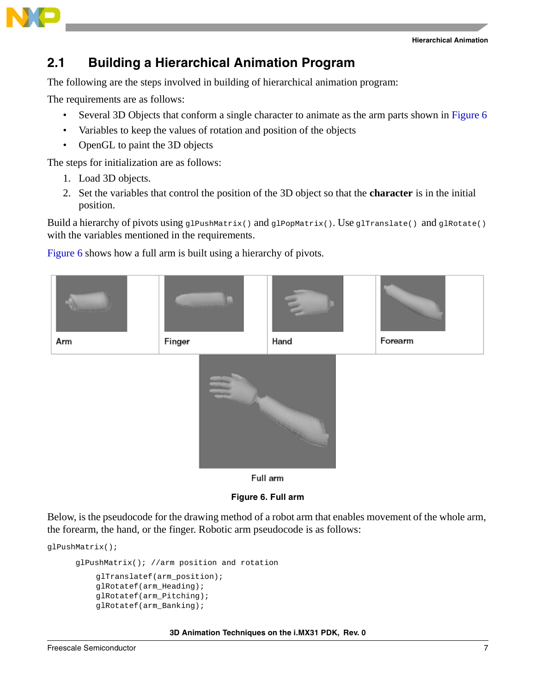

### **2.1 Building a Hierarchical Animation Program**

The following are the steps involved in building of hierarchical animation program:

The requirements are as follows:

- Several 3D Objects that conform a single character to animate as the arm parts shown in [Figure 6](#page-6-0)
- Variables to keep the values of rotation and position of the objects
- OpenGL to paint the 3D objects

The steps for initialization are as follows:

- 1. Load 3D objects.
- 2. Set the variables that control the position of the 3D object so that the **character** is in the initial position.

Build a hierarchy of pivots using glPushMatrix() and glPopMatrix(). Use glTranslate() and glRotate() with the variables mentioned in the requirements.

[Figure 6](#page-6-0) shows how a full arm is built using a hierarchy of pivots.



**Figure 6. Full arm**

<span id="page-6-0"></span>Below, is the pseudocode for the drawing method of a robot arm that enables movement of the whole arm, the forearm, the hand, or the finger. Robotic arm pseudocode is as follows:

```
glPushMatrix();
      glPushMatrix(); //arm position and rotation
          glTranslatef(arm_position);
          glRotatef(arm_Heading);
          glRotatef(arm_Pitching);
          glRotatef(arm_Banking);
```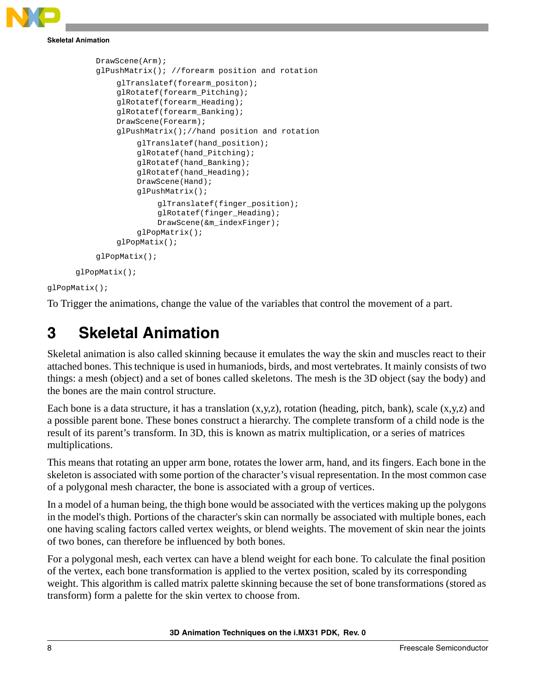**Skeletal Animation**

```
DrawScene(Arm);
          glPushMatrix(); //forearm position and rotation
               glTranslatef(forearm_positon);
               glRotatef(forearm_Pitching);
               glRotatef(forearm_Heading);
               glRotatef(forearm_Banking);
               DrawScene(Forearm);
               glPushMatrix();//hand position and rotation
                   glTranslatef(hand_position);
                   glRotatef(hand_Pitching);
                   glRotatef(hand_Banking);
                   glRotatef(hand_Heading);
                   DrawScene(Hand);
                   glPushMatrix();
                        glTranslatef(finger_position);
                        glRotatef(finger_Heading);
                       DrawScene(&m_indexFinger);
                   glPopMatrix();
               glPopMatix();
          glPopMatix();
      glPopMatix();
glPopMatix();
```
To Trigger the animations, change the value of the variables that control the movement of a part.

### <span id="page-7-0"></span>**3 Skeletal Animation**

Skeletal animation is also called skinning because it emulates the way the skin and muscles react to their attached bones. This technique is used in humaniods, birds, and most vertebrates. It mainly consists of two things: a mesh (object) and a set of bones called skeletons. The mesh is the 3D object (say the body) and the bones are the main control structure.

Each bone is a data structure, it has a translation (x,y,z), rotation (heading, pitch, bank), scale (x,y,z) and a possible parent bone. These bones construct a hierarchy. The complete transform of a child node is the result of its parent's transform. In 3D, this is known as matrix multiplication, or a series of matrices multiplications.

This means that rotating an upper arm bone, rotates the lower arm, hand, and its fingers. Each bone in the skeleton is associated with some portion of the character's visual representation. In the most common case of a polygonal mesh character, the bone is associated with a group of vertices.

In a model of a human being, the thigh bone would be associated with the vertices making up the polygons in the model's thigh. Portions of the character's skin can normally be associated with multiple bones, each one having scaling factors called vertex weights, or blend weights. The movement of skin near the joints of two bones, can therefore be influenced by both bones.

For a polygonal mesh, each vertex can have a blend weight for each bone. To calculate the final position of the vertex, each bone transformation is applied to the vertex position, scaled by its corresponding weight. This algorithm is called matrix palette skinning because the set of bone transformations (stored as transform) form a palette for the skin vertex to choose from.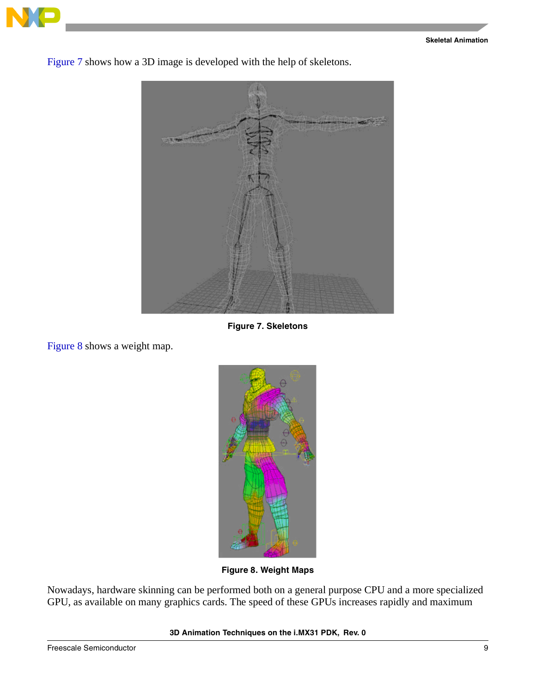



[Figure 7](#page-8-1) shows how a 3D image is developed with the help of skeletons.

**Figure 7. Skeletons**

<span id="page-8-1"></span>[Figure 8](#page-8-0) shows a weight map.



**Figure 8. Weight Maps**

<span id="page-8-0"></span>Nowadays, hardware skinning can be performed both on a general purpose CPU and a more specialized GPU, as available on many graphics cards. The speed of these GPUs increases rapidly and maximum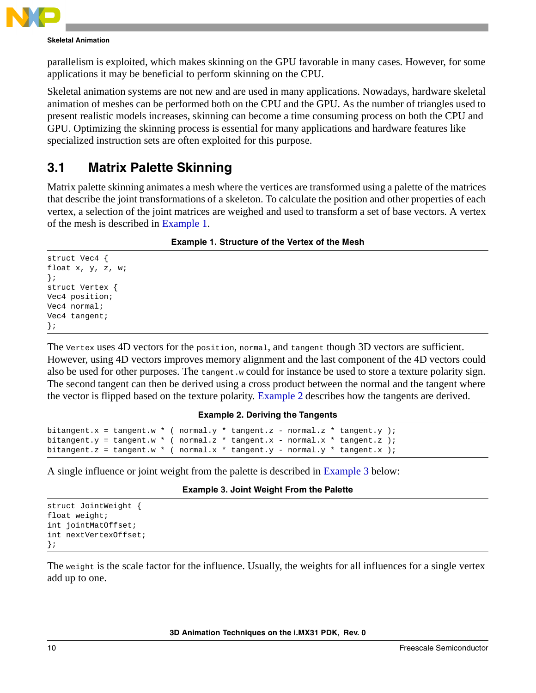

**Skeletal Animation**

parallelism is exploited, which makes skinning on the GPU favorable in many cases. However, for some applications it may be beneficial to perform skinning on the CPU.

Skeletal animation systems are not new and are used in many applications. Nowadays, hardware skeletal animation of meshes can be performed both on the CPU and the GPU. As the number of triangles used to present realistic models increases, skinning can become a time consuming process on both the CPU and GPU. Optimizing the skinning process is essential for many applications and hardware features like specialized instruction sets are often exploited for this purpose.

### **3.1 Matrix Palette Skinning**

Matrix palette skinning animates a mesh where the vertices are transformed using a palette of the matrices that describe the joint transformations of a skeleton. To calculate the position and other properties of each vertex, a selection of the joint matrices are weighed and used to transform a set of base vectors. A vertex of the mesh is described in [Example 1.](#page-9-1)

```
struct Vec4 {
float x, y, z, w; 
}; 
struct Vertex { 
Vec4 position; 
Vec4 normal; 
Vec4 tangent; 
};
```
The vertex uses 4D vectors for the position, normal, and tangent though 3D vectors are sufficient. However, using 4D vectors improves memory alignment and the last component of the 4D vectors could also be used for other purposes. The tangent.w could for instance be used to store a texture polarity sign. The second tangent can then be derived using a cross product between the normal and the tangent where the vector is flipped based on the texture polarity. [Example 2](#page-9-2) describes how the tangents are derived.

### **Example 2. Deriving the Tangents**

```
bitangent.x = tangent.w * ( normal.y * tangent.z - normal.z * tangent.y );
bitangent.y = tangent.w * ( normal.z * tangent.x - normal.x * tangent.z );
bitangent.z = tangent.w * ( normal.x * tangent.y - normal.y * tangent.x );
```
<span id="page-9-0"></span>A single influence or joint weight from the palette is described in [Example 3](#page-9-0) below:

### **Example 3. Joint Weight From the Palette**

```
struct JointWeight {
float weight;
int jointMatOffset;
int nextVertexOffset;
};
```
The weight is the scale factor for the influence. Usually, the weights for all influences for a single vertex add up to one.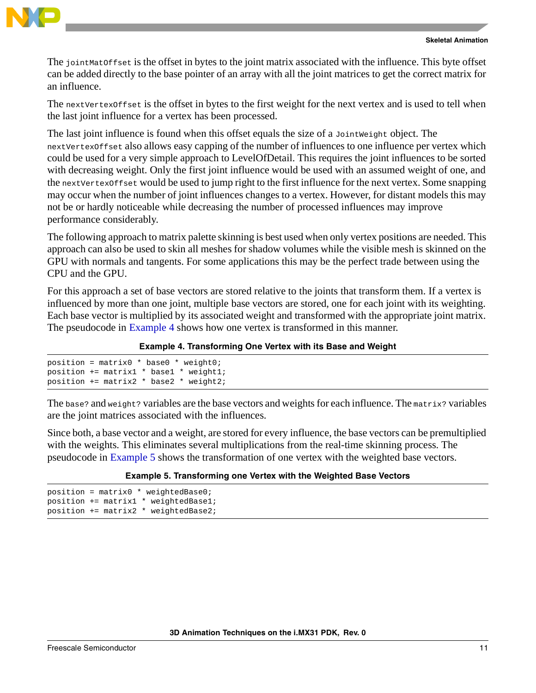



The jointMatOffset is the offset in bytes to the joint matrix associated with the influence. This byte offset can be added directly to the base pointer of an array with all the joint matrices to get the correct matrix for an influence.

The next vertex of f set is the offset in bytes to the first weight for the next vertex and is used to tell when the last joint influence for a vertex has been processed.

The last joint influence is found when this offset equals the size of a  $J$ oint Weight object. The nextVertexOffset also allows easy capping of the number of influences to one influence per vertex which could be used for a very simple approach to LevelOfDetail. This requires the joint influences to be sorted with decreasing weight. Only the first joint influence would be used with an assumed weight of one, and the nextVertexOffset would be used to jump right to the first influence for the next vertex. Some snapping may occur when the number of joint influences changes to a vertex. However, for distant models this may not be or hardly noticeable while decreasing the number of processed influences may improve performance considerably.

The following approach to matrix palette skinning is best used when only vertex positions are needed. This approach can also be used to skin all meshes for shadow volumes while the visible mesh is skinned on the GPU with normals and tangents. For some applications this may be the perfect trade between using the CPU and the GPU.

For this approach a set of base vectors are stored relative to the joints that transform them. If a vertex is influenced by more than one joint, multiple base vectors are stored, one for each joint with its weighting. Each base vector is multiplied by its associated weight and transformed with the appropriate joint matrix. The pseudocode in [Example 4](#page-10-0) shows how one vertex is transformed in this manner.

### **Example 4. Transforming One Vertex with its Base and Weight**

```
position = matrix0 * base0 * weight0;
position += matrix1 * base1 * weight1; 
position += matrix2 * base2 * weight2;
```
The base? and weight? variables are the base vectors and weights for each influence. The matrix? variables are the joint matrices associated with the influences.

Since both, a base vector and a weight, are stored for every influence, the base vectors can be premultiplied with the weights. This eliminates several multiplications from the real-time skinning process. The pseudocode in [Example 5](#page-10-1) shows the transformation of one vertex with the weighted base vectors.

#### **Example 5. Transforming one Vertex with the Weighted Base Vectors**

```
position = matrix0 * weightedBase0;
position += matrix1 * weightedBase1; 
position += matrix2 * weightedBase2;
```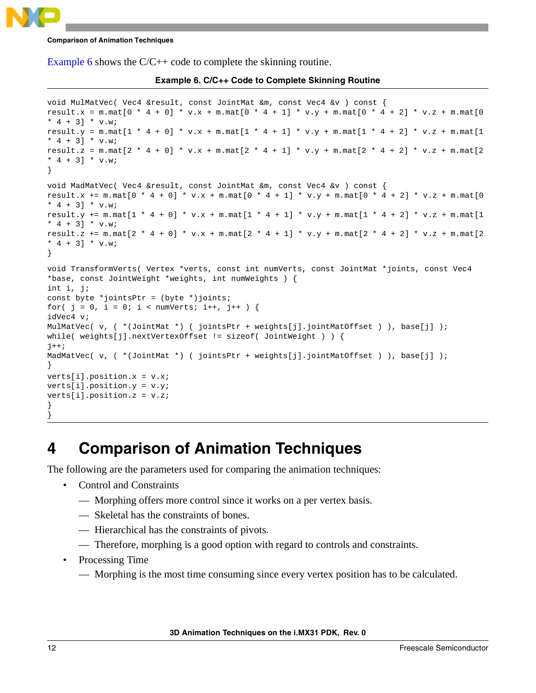

#### **Comparison of Animation Techniques**

<span id="page-11-1"></span>[Example 6](#page-11-1) shows the C/C++ code to complete the skinning routine.

```
Example 6. C/C++ Code to Complete Skinning Routine
```

```
void MulMatVec( Vec4 &result, const JointMat &m, const Vec4 &v ) const { 
result.x = m.mat[0 * 4 + 0] * v.x + m.mat[0 * 4 + 1] * v.y + m.mat[0 * 4 + 2] * v.z + m.mat[0* 4 + 3 * v.w;
result.y = m.mat[1 * 4 + 0] * v.x + m.mat[1 * 4 + 1] * v.y + m.mat[1 * 4 + 2] * v.z + m.mat[1* 4 + 3] * v.w;result.z = m.mat[2 * 4 + 0] * v.x + m.mat[2 * 4 + 1] * v.y + m.mat[2 * 4 + 2] * v.z + m.mat[2* 4 + 3] * v.wi}
void MadMatVec( Vec4 &result, const JointMat &m, const Vec4 &v ) const { 
result.x += m.mat[0 * 4 + 0] * v.x + m.mat[0 * 4 + 1] * v.y + m.mat[0 * 4 + 2] * v.z + m.mat[0* 4 + 3 * v.w;
result.y += m.mat[1 * 4 + 0] * v.x + m.mat[1 * 4 + 1] * v.y + m.mat[1 * 4 + 2] * v.z + m.mat[1
* 4 + 3] * v.w;
result.z += m.mat[2 * 4 + 0] * v.x + m.mat[2 * 4 + 1] * v.y + m.mat[2 * 4 + 2] * v.z + m.mat[2* 4 + 3] * v.wi}
void TransformVerts( Vertex *verts, const int numVerts, const JointMat *joints, const Vec4
*base, const JointWeight *weights, int numWeights ) { 
int i, j; 
const byte *jointsPtr = (byte *joints)for( j = 0, i = 0; i < numVerts; i++, j++ ) {
idVec4 v; 
MulMatVec( v, ( *(JointMat *) ( jointsPtr + weights[j].jointMatOffset ) ), base[j] ); 
while( weights[j].nextVertexOffset != sizeof( JointWeight ) ) { 
j++;MadMatVec( v, ( *(JointMat *) ( jointsPtr + weights[j].jointMatOffset ) ), base[j] );
}
verts[i].position.x = v.x; 
verts[i].position.y = v.y; 
verts[i].position.z = v.z; 
}
```
### <span id="page-11-0"></span>**4 Comparison of Animation Techniques**

The following are the parameters used for comparing the animation techniques:

- Control and Constraints
	- Morphing offers more control since it works on a per vertex basis.
	- Skeletal has the constraints of bones.
	- Hierarchical has the constraints of pivots.
	- Therefore, morphing is a good option with regard to controls and constraints.
- Processing Time
	- Morphing is the most time consuming since every vertex position has to be calculated.

}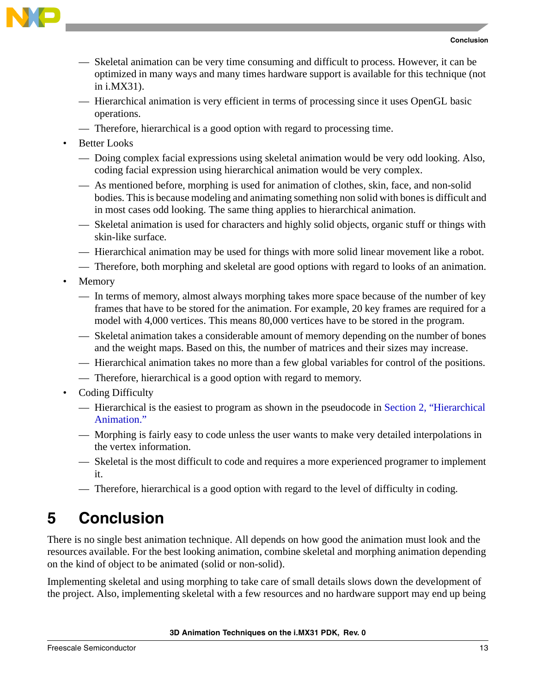



- Skeletal animation can be very time consuming and difficult to process. However, it can be optimized in many ways and many times hardware support is available for this technique (not in i.MX31).
- Hierarchical animation is very efficient in terms of processing since it uses OpenGL basic operations.
- Therefore, hierarchical is a good option with regard to processing time.
- Better Looks
	- Doing complex facial expressions using skeletal animation would be very odd looking. Also, coding facial expression using hierarchical animation would be very complex.
	- As mentioned before, morphing is used for animation of clothes, skin, face, and non-solid bodies. This is because modeling and animating something non solid with bones is difficult and in most cases odd looking. The same thing applies to hierarchical animation.
	- Skeletal animation is used for characters and highly solid objects, organic stuff or things with skin-like surface.
	- Hierarchical animation may be used for things with more solid linear movement like a robot.
	- Therefore, both morphing and skeletal are good options with regard to looks of an animation.
- **Memory** 
	- In terms of memory, almost always morphing takes more space because of the number of key frames that have to be stored for the animation. For example, 20 key frames are required for a model with 4,000 vertices. This means 80,000 vertices have to be stored in the program.
	- Skeletal animation takes a considerable amount of memory depending on the number of bones and the weight maps. Based on this, the number of matrices and their sizes may increase.
	- Hierarchical animation takes no more than a few global variables for control of the positions.
	- Therefore, hierarchical is a good option with regard to memory.
- Coding Difficulty
	- Hierarchical is the easiest to program as shown in the pseudocode in [Section 2, "Hierarchical](#page-5-0)  [Animation](#page-5-0)."
	- Morphing is fairly easy to code unless the user wants to make very detailed interpolations in the vertex information.
	- Skeletal is the most difficult to code and requires a more experienced programer to implement it.
	- Therefore, hierarchical is a good option with regard to the level of difficulty in coding.

### <span id="page-12-0"></span>**5 Conclusion**

There is no single best animation technique. All depends on how good the animation must look and the resources available. For the best looking animation, combine skeletal and morphing animation depending on the kind of object to be animated (solid or non-solid).

Implementing skeletal and using morphing to take care of small details slows down the development of the project. Also, implementing skeletal with a few resources and no hardware support may end up being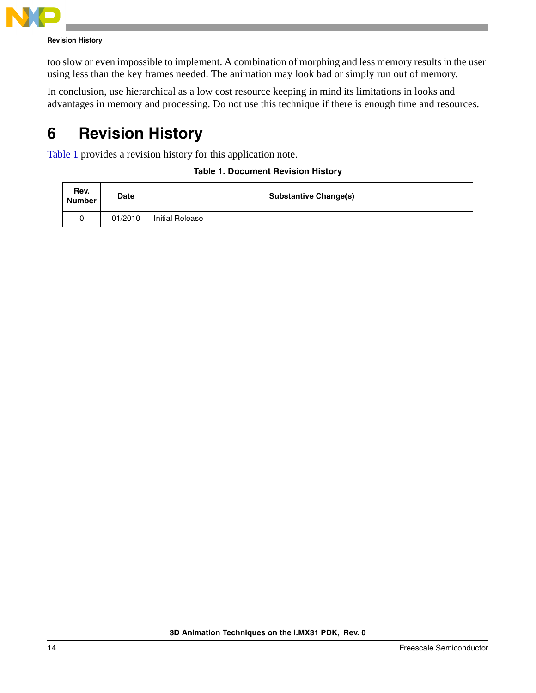

**Revision History**

too slow or even impossible to implement. A combination of morphing and less memory results in the user using less than the key frames needed. The animation may look bad or simply run out of memory.

In conclusion, use hierarchical as a low cost resource keeping in mind its limitations in looks and advantages in memory and processing. Do not use this technique if there is enough time and resources.

### <span id="page-13-0"></span>**6 Revision History**

<span id="page-13-1"></span>[Table 1](#page-13-1) provides a revision history for this application note.

### **Table 1. Document Revision History**

| Rev.<br><b>Number</b> | Date    | <b>Substantive Change(s)</b> |
|-----------------------|---------|------------------------------|
| 0                     | 01/2010 | Initial Release              |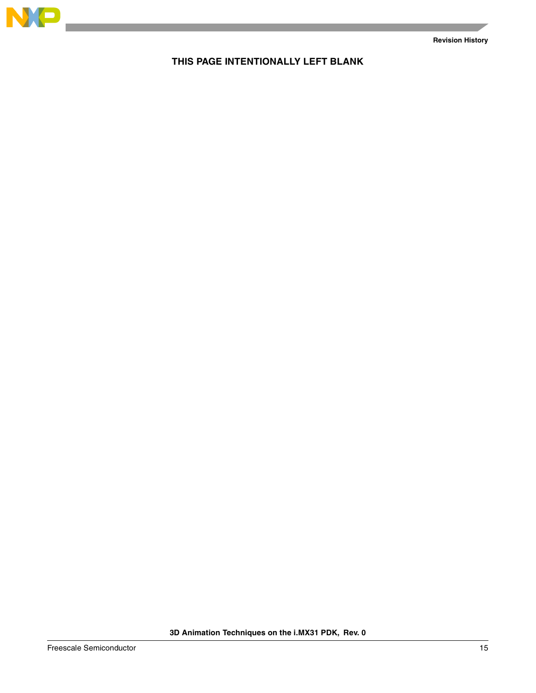

 $\overline{\phantom{a}}$ 

### **THIS PAGE INTENTIONALLY LEFT BLANK**